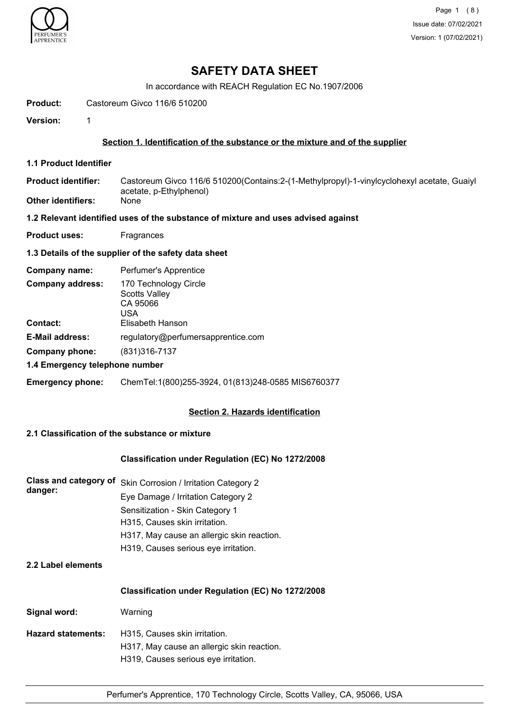

# **SAFETY DATA SHEET**

In accordance with REACH Regulation EC No.1907/2006

**Product:** Castoreum Givco 116/6 510200

**Version:** 1

#### **Section 1. Identification of the substance or the mixture and of the supplier**

**1.1 Product Identifier**

Castoreum Givco 116/6 510200(Contains:2-(1-Methylpropyl)-1-vinylcyclohexyl acetate, Guaiyl acetate, p-Ethylphenol) **Product identifier:**

**Other identifiers:** 

#### **1.2 Relevant identified uses of the substance of mixture and uses advised against**

**Product uses:** Fragrances

#### **1.3 Details of the supplier of the safety data sheet**

| Perfumer's Apprentice                                            |
|------------------------------------------------------------------|
| 170 Technology Circle<br><b>Scotts Valley</b><br>CA 95066<br>USA |
| Elisabeth Hanson                                                 |
| regulatory@perfumersapprentice.com                               |
| (831) 316-7137                                                   |
| 1.4 Emergency telephone number                                   |
|                                                                  |

**Emergency phone:** ChemTel:1(800)255-3924, 01(813)248-0585 MIS6760377

#### **Section 2. Hazards identification**

#### **2.1 Classification of the substance or mixture**

#### **Classification under Regulation (EC) No 1272/2008**

| danger: | Class and category of Skin Corrosion / Irritation Category 2 |
|---------|--------------------------------------------------------------|
|         | Eye Damage / Irritation Category 2                           |
|         | Sensitization - Skin Category 1                              |
|         | H315, Causes skin irritation.                                |
|         | H317, May cause an allergic skin reaction.                   |
|         | H319, Causes serious eye irritation.                         |
|         |                                                              |

## **2.2 Label elements**

#### **Classification under Regulation (EC) No 1272/2008**

| Warning                                    |
|--------------------------------------------|
| H315, Causes skin irritation.              |
| H317, May cause an allergic skin reaction. |
| H319, Causes serious eye irritation.       |
|                                            |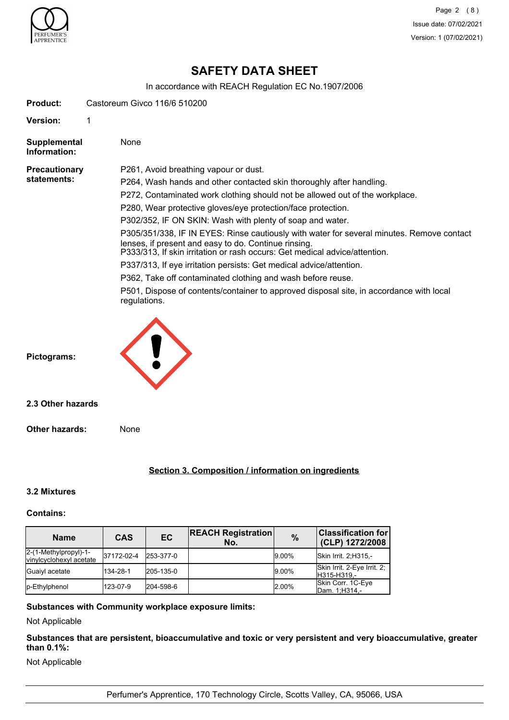

# **SAFETY DATA SHEET**

In accordance with REACH Regulation EC No.1907/2006

|                                     | aboordance with the form togalation EO HO. 1997/2000                                                                                                                                                                                                                                                                                                                                                                                                                                                                                                                                                                                                                                                                                                                                                           |
|-------------------------------------|----------------------------------------------------------------------------------------------------------------------------------------------------------------------------------------------------------------------------------------------------------------------------------------------------------------------------------------------------------------------------------------------------------------------------------------------------------------------------------------------------------------------------------------------------------------------------------------------------------------------------------------------------------------------------------------------------------------------------------------------------------------------------------------------------------------|
| <b>Product:</b>                     | Castoreum Givco 116/6 510200                                                                                                                                                                                                                                                                                                                                                                                                                                                                                                                                                                                                                                                                                                                                                                                   |
| <b>Version:</b>                     | 1                                                                                                                                                                                                                                                                                                                                                                                                                                                                                                                                                                                                                                                                                                                                                                                                              |
| Supplemental<br>Information:        | None                                                                                                                                                                                                                                                                                                                                                                                                                                                                                                                                                                                                                                                                                                                                                                                                           |
| <b>Precautionary</b><br>statements: | P261, Avoid breathing vapour or dust.<br>P264, Wash hands and other contacted skin thoroughly after handling.<br>P272, Contaminated work clothing should not be allowed out of the workplace.<br>P280, Wear protective gloves/eye protection/face protection.<br>P302/352, IF ON SKIN: Wash with plenty of soap and water.<br>P305/351/338, IF IN EYES: Rinse cautiously with water for several minutes. Remove contact<br>lenses, if present and easy to do. Continue rinsing.<br>P333/313, If skin irritation or rash occurs: Get medical advice/attention.<br>P337/313, If eye irritation persists: Get medical advice/attention.<br>P362, Take off contaminated clothing and wash before reuse.<br>P501, Dispose of contents/container to approved disposal site, in accordance with local<br>regulations. |
| Pictograms:                         |                                                                                                                                                                                                                                                                                                                                                                                                                                                                                                                                                                                                                                                                                                                                                                                                                |
| 2.3 Other hazards                   |                                                                                                                                                                                                                                                                                                                                                                                                                                                                                                                                                                                                                                                                                                                                                                                                                |
| <b>Other hazards:</b>               | None                                                                                                                                                                                                                                                                                                                                                                                                                                                                                                                                                                                                                                                                                                                                                                                                           |
|                                     | Section 3. Composition / information on ingredients                                                                                                                                                                                                                                                                                                                                                                                                                                                                                                                                                                                                                                                                                                                                                            |
| 3.2 Mixtures                        |                                                                                                                                                                                                                                                                                                                                                                                                                                                                                                                                                                                                                                                                                                                                                                                                                |

# **Contains:**

| <b>Name</b>                                      | <b>CAS</b> | EC        | <b>REACH Registration</b><br>No. | $\frac{9}{6}$ | <b>Classification for</b><br>(CLP) 1272/2008 |
|--------------------------------------------------|------------|-----------|----------------------------------|---------------|----------------------------------------------|
| 2-(1-Methylpropyl)-1-<br>vinylcyclohexyl acetate | 37172-02-4 | 253-377-0 |                                  | $9.00\%$      | Skin Irrit. 2; H315,-                        |
| Guaiyl acetate                                   | 134-28-1   | 205-135-0 |                                  | $9.00\%$      | Skin Irrit. 2-Eye Irrit. 2;<br>H315-H319,-   |
| p-Ethylphenol                                    | 123-07-9   | 204-598-6 |                                  | 2.00%         | Skin Corr. 1C-Eye<br>Dam. 1; H314 -          |

## **Substances with Community workplace exposure limits:**

Not Applicable

**Substances that are persistent, bioaccumulative and toxic or very persistent and very bioaccumulative, greater than 0.1%:**

Not Applicable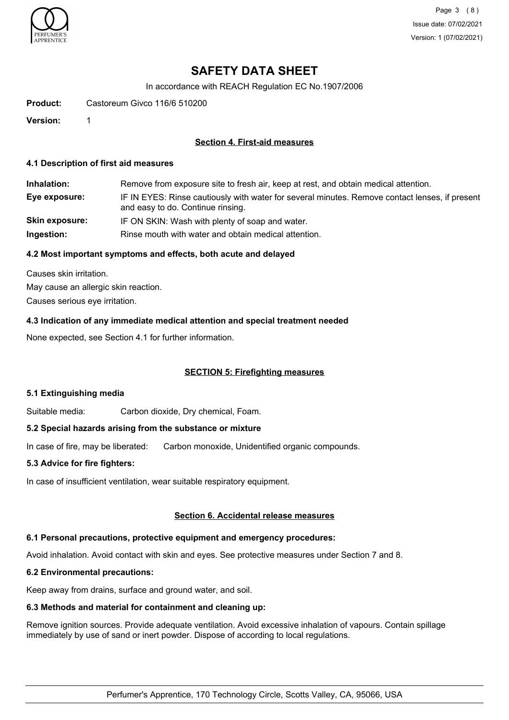

Page 3 (8) Issue date: 07/02/2021 Version: 1 (07/02/2021)

# **SAFETY DATA SHEET**

In accordance with REACH Regulation EC No.1907/2006

**Product:** Castoreum Givco 116/6 510200

**Version:** 1

#### **Section 4. First-aid measures**

#### **4.1 Description of first aid measures**

**Inhalation:** Remove from exposure site to fresh air, keep at rest, and obtain medical attention. **Eye exposure:** IF IN EYES: Rinse cautiously with water for several minutes. Remove contact lenses, if present and easy to do. Continue rinsing. **Skin exposure:** IF ON SKIN: Wash with plenty of soap and water. **Ingestion:** Rinse mouth with water and obtain medical attention.

#### **4.2 Most important symptoms and effects, both acute and delayed**

Causes skin irritation. May cause an allergic skin reaction. Causes serious eye irritation.

**4.3 Indication of any immediate medical attention and special treatment needed**

None expected, see Section 4.1 for further information.

#### **SECTION 5: Firefighting measures**

#### **5.1 Extinguishing media**

Suitable media: Carbon dioxide, Dry chemical, Foam.

#### **5.2 Special hazards arising from the substance or mixture**

In case of fire, may be liberated: Carbon monoxide, Unidentified organic compounds.

#### **5.3 Advice for fire fighters:**

In case of insufficient ventilation, wear suitable respiratory equipment.

#### **Section 6. Accidental release measures**

## **6.1 Personal precautions, protective equipment and emergency procedures:**

Avoid inhalation. Avoid contact with skin and eyes. See protective measures under Section 7 and 8.

# **6.2 Environmental precautions:**

Keep away from drains, surface and ground water, and soil.

## **6.3 Methods and material for containment and cleaning up:**

Remove ignition sources. Provide adequate ventilation. Avoid excessive inhalation of vapours. Contain spillage immediately by use of sand or inert powder. Dispose of according to local regulations.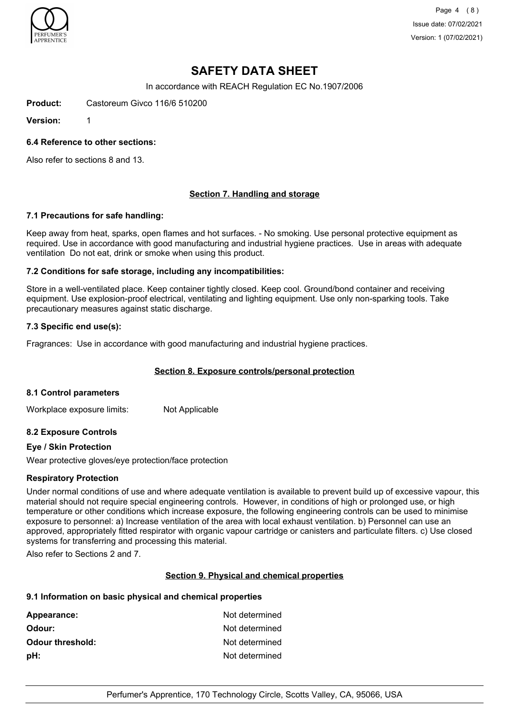

Page 4 (8) Issue date: 07/02/2021 Version: 1 (07/02/2021)

# **SAFETY DATA SHEET**

In accordance with REACH Regulation EC No.1907/2006

**Product:** Castoreum Givco 116/6 510200

**Version:** 1

#### **6.4 Reference to other sections:**

Also refer to sections 8 and 13.

#### **Section 7. Handling and storage**

#### **7.1 Precautions for safe handling:**

Keep away from heat, sparks, open flames and hot surfaces. - No smoking. Use personal protective equipment as required. Use in accordance with good manufacturing and industrial hygiene practices. Use in areas with adequate ventilation Do not eat, drink or smoke when using this product.

#### **7.2 Conditions for safe storage, including any incompatibilities:**

Store in a well-ventilated place. Keep container tightly closed. Keep cool. Ground/bond container and receiving equipment. Use explosion-proof electrical, ventilating and lighting equipment. Use only non-sparking tools. Take precautionary measures against static discharge.

#### **7.3 Specific end use(s):**

Fragrances: Use in accordance with good manufacturing and industrial hygiene practices.

#### **Section 8. Exposure controls/personal protection**

#### **8.1 Control parameters**

Workplace exposure limits: Not Applicable

#### **8.2 Exposure Controls**

#### **Eye / Skin Protection**

Wear protective gloves/eye protection/face protection

#### **Respiratory Protection**

Under normal conditions of use and where adequate ventilation is available to prevent build up of excessive vapour, this material should not require special engineering controls. However, in conditions of high or prolonged use, or high temperature or other conditions which increase exposure, the following engineering controls can be used to minimise exposure to personnel: a) Increase ventilation of the area with local exhaust ventilation. b) Personnel can use an approved, appropriately fitted respirator with organic vapour cartridge or canisters and particulate filters. c) Use closed systems for transferring and processing this material.

Also refer to Sections 2 and 7.

#### **Section 9. Physical and chemical properties**

#### **9.1 Information on basic physical and chemical properties**

| Not determined |
|----------------|
| Not determined |
| Not determined |
| Not determined |
|                |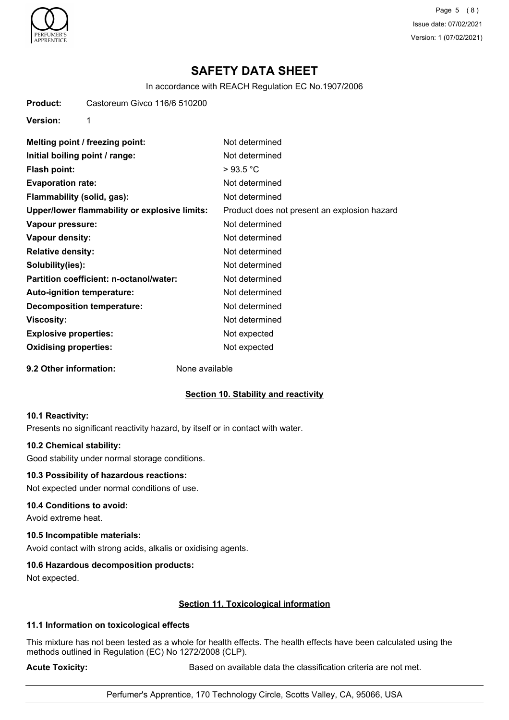

Page 5 (8) Issue date: 07/02/2021 Version: 1 (07/02/2021)

# **SAFETY DATA SHEET**

In accordance with REACH Regulation EC No.1907/2006

**Product:** Castoreum Givco 116/6 510200

**Version:** 1

| Melting point / freezing point:               | Not determined                               |
|-----------------------------------------------|----------------------------------------------|
| Initial boiling point / range:                | Not determined                               |
| Flash point:                                  | >93.5 °C                                     |
| <b>Evaporation rate:</b>                      | Not determined                               |
| Flammability (solid, gas):                    | Not determined                               |
| Upper/lower flammability or explosive limits: | Product does not present an explosion hazard |
| Vapour pressure:                              | Not determined                               |
| Vapour density:                               | Not determined                               |
| <b>Relative density:</b>                      | Not determined                               |
| Solubility(ies):                              | Not determined                               |
| Partition coefficient: n-octanol/water:       | Not determined                               |
| <b>Auto-ignition temperature:</b>             | Not determined                               |
| <b>Decomposition temperature:</b>             | Not determined                               |
| Viscosity:                                    | Not determined                               |
| <b>Explosive properties:</b>                  | Not expected                                 |
| <b>Oxidising properties:</b>                  | Not expected                                 |

**9.2 Other information:** None available

#### **Section 10. Stability and reactivity**

#### **10.1 Reactivity:**

Presents no significant reactivity hazard, by itself or in contact with water.

#### **10.2 Chemical stability:**

Good stability under normal storage conditions.

#### **10.3 Possibility of hazardous reactions:**

Not expected under normal conditions of use.

#### **10.4 Conditions to avoid:**

Avoid extreme heat.

#### **10.5 Incompatible materials:**

Avoid contact with strong acids, alkalis or oxidising agents.

#### **10.6 Hazardous decomposition products:**

Not expected.

#### **Section 11. Toxicological information**

#### **11.1 Information on toxicological effects**

This mixture has not been tested as a whole for health effects. The health effects have been calculated using the methods outlined in Regulation (EC) No 1272/2008 (CLP).

**Acute Toxicity: Acute Toxicity: Based on available data the classification criteria are not met.**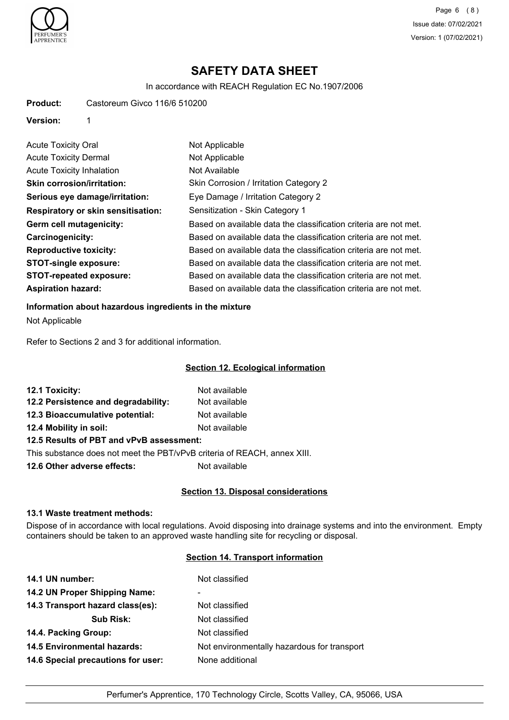

Page 6 (8) Issue date: 07/02/2021 Version: 1 (07/02/2021)

# **SAFETY DATA SHEET**

In accordance with REACH Regulation EC No.1907/2006

**Product:** Castoreum Givco 116/6 510200

**Version:** 1

| <b>Acute Toxicity Oral</b>                | Not Applicable                                                   |
|-------------------------------------------|------------------------------------------------------------------|
| <b>Acute Toxicity Dermal</b>              | Not Applicable                                                   |
| Acute Toxicity Inhalation                 | Not Available                                                    |
| <b>Skin corrosion/irritation:</b>         | Skin Corrosion / Irritation Category 2                           |
| Serious eye damage/irritation:            | Eye Damage / Irritation Category 2                               |
| <b>Respiratory or skin sensitisation:</b> | Sensitization - Skin Category 1                                  |
| Germ cell mutagenicity:                   | Based on available data the classification criteria are not met. |
| <b>Carcinogenicity:</b>                   | Based on available data the classification criteria are not met. |
| <b>Reproductive toxicity:</b>             | Based on available data the classification criteria are not met. |
| <b>STOT-single exposure:</b>              | Based on available data the classification criteria are not met. |
| <b>STOT-repeated exposure:</b>            | Based on available data the classification criteria are not met. |
| <b>Aspiration hazard:</b>                 | Based on available data the classification criteria are not met. |

#### **Information about hazardous ingredients in the mixture**

Not Applicable

Refer to Sections 2 and 3 for additional information.

#### **Section 12. Ecological information**

| 12.1 Toxicity:                           | Not available |
|------------------------------------------|---------------|
| 12.2 Persistence and degradability:      | Not available |
| 12.3 Bioaccumulative potential:          | Not available |
| 12.4 Mobility in soil:                   | Not available |
| 12.5 Results of PBT and vPvB assessment: |               |

This substance does not meet the PBT/vPvB criteria of REACH, annex XIII.

**12.6 Other adverse effects:** Not available

### **Section 13. Disposal considerations**

### **13.1 Waste treatment methods:**

Dispose of in accordance with local regulations. Avoid disposing into drainage systems and into the environment. Empty containers should be taken to an approved waste handling site for recycling or disposal.

## **Section 14. Transport information**

| 14.1 UN number:                    | Not classified                              |
|------------------------------------|---------------------------------------------|
| 14.2 UN Proper Shipping Name:      | -                                           |
| 14.3 Transport hazard class(es):   | Not classified                              |
| <b>Sub Risk:</b>                   | Not classified                              |
| 14.4. Packing Group:               | Not classified                              |
| <b>14.5 Environmental hazards:</b> | Not environmentally hazardous for transport |
| 14.6 Special precautions for user: | None additional                             |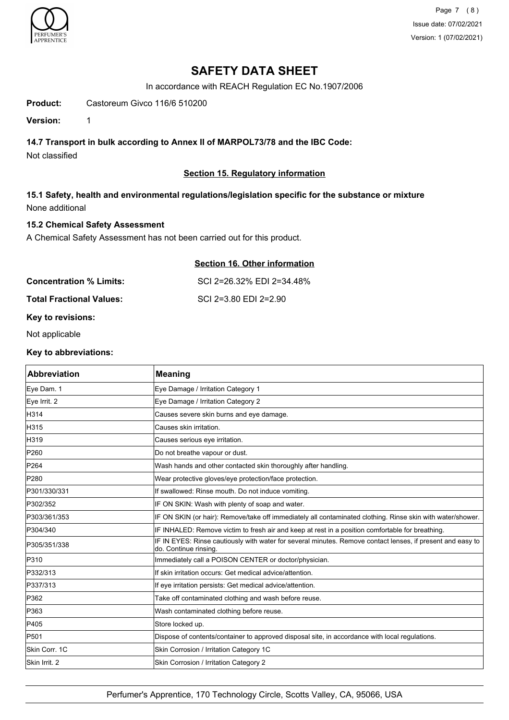

Page 7 (8) Issue date: 07/02/2021 Version: 1 (07/02/2021)

# **SAFETY DATA SHEET**

In accordance with REACH Regulation EC No.1907/2006

**Product:** Castoreum Givco 116/6 510200

**Version:** 1

## **14.7 Transport in bulk according to Annex II of MARPOL73/78 and the IBC Code:**

Not classified

## **Section 15. Regulatory information**

## **15.1 Safety, health and environmental regulations/legislation specific for the substance or mixture** None additional

### **15.2 Chemical Safety Assessment**

A Chemical Safety Assessment has not been carried out for this product.

|                                 | Section 16. Other information |
|---------------------------------|-------------------------------|
| <b>Concentration % Limits:</b>  | SCI 2=26.32% EDI 2=34.48%     |
| <b>Total Fractional Values:</b> | SCI 2=3.80 EDI 2=2.90         |

## **Key to revisions:**

Not applicable

### **Key to abbreviations:**

| <b>Abbreviation</b> | <b>Meaning</b>                                                                                                                     |
|---------------------|------------------------------------------------------------------------------------------------------------------------------------|
| Eye Dam. 1          | Eye Damage / Irritation Category 1                                                                                                 |
| Eye Irrit. 2        | Eye Damage / Irritation Category 2                                                                                                 |
| H314                | Causes severe skin burns and eye damage.                                                                                           |
| H315                | Causes skin irritation.                                                                                                            |
| H319                | Causes serious eye irritation.                                                                                                     |
| P <sub>260</sub>    | Do not breathe vapour or dust.                                                                                                     |
| P264                | Wash hands and other contacted skin thoroughly after handling.                                                                     |
| P280                | Wear protective gloves/eye protection/face protection.                                                                             |
| P301/330/331        | If swallowed: Rinse mouth. Do not induce vomiting.                                                                                 |
| P302/352            | IF ON SKIN: Wash with plenty of soap and water.                                                                                    |
| P303/361/353        | IF ON SKIN (or hair): Remove/take off immediately all contaminated clothing. Rinse skin with water/shower.                         |
| P304/340            | IF INHALED: Remove victim to fresh air and keep at rest in a position comfortable for breathing.                                   |
| P305/351/338        | IF IN EYES: Rinse cautiously with water for several minutes. Remove contact lenses, if present and easy to<br>do. Continue rinsing |
| P310                | Immediately call a POISON CENTER or doctor/physician.                                                                              |
| P332/313            | If skin irritation occurs: Get medical advice/attention.                                                                           |
| P337/313            | If eye irritation persists: Get medical advice/attention.                                                                          |
| P362                | Take off contaminated clothing and wash before reuse.                                                                              |
| P363                | Wash contaminated clothing before reuse.                                                                                           |
| P405                | Store locked up.                                                                                                                   |
| P501                | Dispose of contents/container to approved disposal site, in accordance with local regulations.                                     |
| Skin Corr. 1C       | Skin Corrosion / Irritation Category 1C                                                                                            |
| Skin Irrit. 2       | Skin Corrosion / Irritation Category 2                                                                                             |